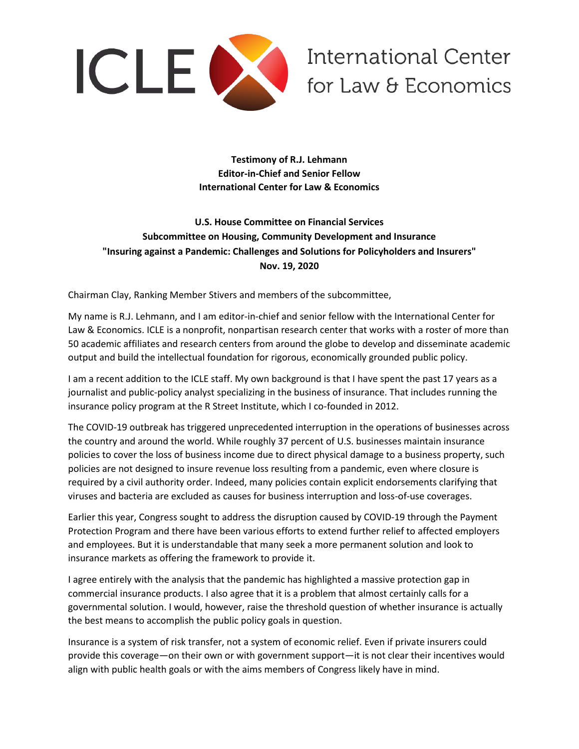

**International Center** for Law & Economics

**Testimony of R.J. Lehmann Editor-in-Chief and Senior Fellow International Center for Law & Economics**

# **U.S. House Committee on Financial Services Subcommittee on Housing, Community Development and Insurance "Insuring against a Pandemic: Challenges and Solutions for Policyholders and Insurers" Nov. 19, 2020**

Chairman Clay, Ranking Member Stivers and members of the subcommittee,

My name is R.J. Lehmann, and I am editor-in-chief and senior fellow with the International Center for Law & Economics. ICLE is a nonprofit, nonpartisan research center that works with a roster of more than 50 academic affiliates and research centers from around the globe to develop and disseminate academic output and build the intellectual foundation for rigorous, economically grounded public policy.

I am a recent addition to the ICLE staff. My own background is that I have spent the past 17 years as a journalist and public-policy analyst specializing in the business of insurance. That includes running the insurance policy program at the R Street Institute, which I co-founded in 2012.

The COVID-19 outbreak has triggered unprecedented interruption in the operations of businesses across the country and around the world. While roughly 37 percent of U.S. businesses maintain insurance policies to cover the loss of business income due to direct physical damage to a business property, such policies are not designed to insure revenue loss resulting from a pandemic, even where closure is required by a civil authority order. Indeed, many policies contain explicit endorsements clarifying that viruses and bacteria are excluded as causes for business interruption and loss-of-use coverages.

Earlier this year, Congress sought to address the disruption caused by COVID-19 through the Payment Protection Program and there have been various efforts to extend further relief to affected employers and employees. But it is understandable that many seek a more permanent solution and look to insurance markets as offering the framework to provide it.

I agree entirely with the analysis that the pandemic has highlighted a massive protection gap in commercial insurance products. I also agree that it is a problem that almost certainly calls for a governmental solution. I would, however, raise the threshold question of whether insurance is actually the best means to accomplish the public policy goals in question.

Insurance is a system of risk transfer, not a system of economic relief. Even if private insurers could provide this coverage—on their own or with government support—it is not clear their incentives would align with public health goals or with the aims members of Congress likely have in mind.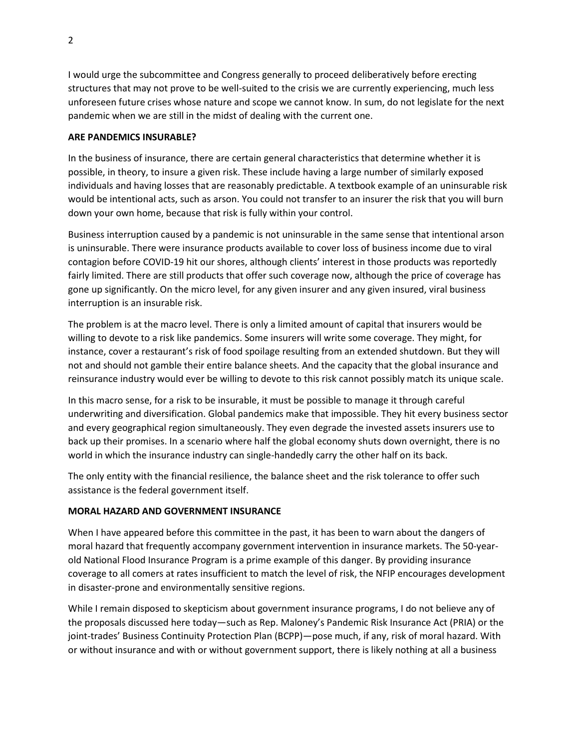I would urge the subcommittee and Congress generally to proceed deliberatively before erecting structures that may not prove to be well-suited to the crisis we are currently experiencing, much less unforeseen future crises whose nature and scope we cannot know. In sum, do not legislate for the next pandemic when we are still in the midst of dealing with the current one.

### **ARE PANDEMICS INSURABLE?**

In the business of insurance, there are certain general characteristics that determine whether it is possible, in theory, to insure a given risk. These include having a large number of similarly exposed individuals and having losses that are reasonably predictable. A textbook example of an uninsurable risk would be intentional acts, such as arson. You could not transfer to an insurer the risk that you will burn down your own home, because that risk is fully within your control.

Business interruption caused by a pandemic is not uninsurable in the same sense that intentional arson is uninsurable. There were insurance products available to cover loss of business income due to viral contagion before COVID-19 hit our shores, although clients' interest in those products was reportedly fairly limited. There are still products that offer such coverage now, although the price of coverage has gone up significantly. On the micro level, for any given insurer and any given insured, viral business interruption is an insurable risk.

The problem is at the macro level. There is only a limited amount of capital that insurers would be willing to devote to a risk like pandemics. Some insurers will write some coverage. They might, for instance, cover a restaurant's risk of food spoilage resulting from an extended shutdown. But they will not and should not gamble their entire balance sheets. And the capacity that the global insurance and reinsurance industry would ever be willing to devote to this risk cannot possibly match its unique scale.

In this macro sense, for a risk to be insurable, it must be possible to manage it through careful underwriting and diversification. Global pandemics make that impossible. They hit every business sector and every geographical region simultaneously. They even degrade the invested assets insurers use to back up their promises. In a scenario where half the global economy shuts down overnight, there is no world in which the insurance industry can single-handedly carry the other half on its back.

The only entity with the financial resilience, the balance sheet and the risk tolerance to offer such assistance is the federal government itself.

# **MORAL HAZARD AND GOVERNMENT INSURANCE**

When I have appeared before this committee in the past, it has been to warn about the dangers of moral hazard that frequently accompany government intervention in insurance markets. The 50-yearold National Flood Insurance Program is a prime example of this danger. By providing insurance coverage to all comers at rates insufficient to match the level of risk, the NFIP encourages development in disaster-prone and environmentally sensitive regions.

While I remain disposed to skepticism about government insurance programs, I do not believe any of the proposals discussed here today—such as Rep. Maloney's Pandemic Risk Insurance Act (PRIA) or the joint-trades' Business Continuity Protection Plan (BCPP)—pose much, if any, risk of moral hazard. With or without insurance and with or without government support, there is likely nothing at all a business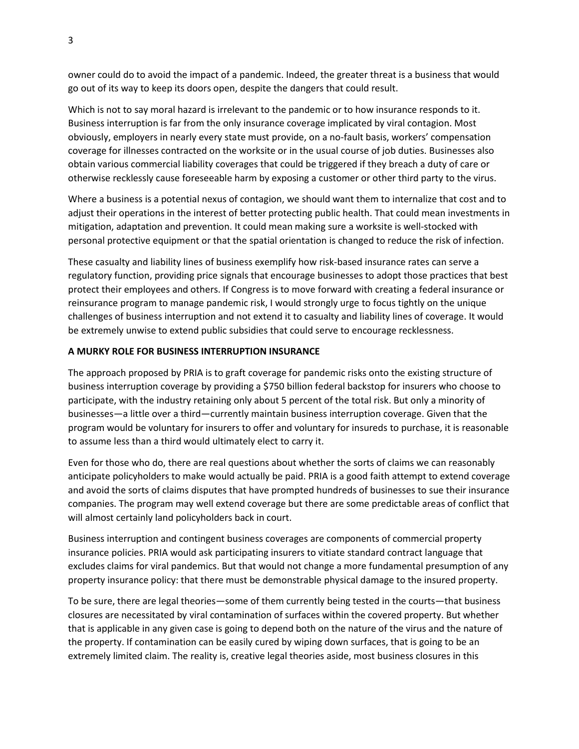owner could do to avoid the impact of a pandemic. Indeed, the greater threat is a business that would go out of its way to keep its doors open, despite the dangers that could result.

Which is not to say moral hazard is irrelevant to the pandemic or to how insurance responds to it. Business interruption is far from the only insurance coverage implicated by viral contagion. Most obviously, employers in nearly every state must provide, on a no-fault basis, workers' compensation coverage for illnesses contracted on the worksite or in the usual course of job duties. Businesses also obtain various commercial liability coverages that could be triggered if they breach a duty of care or otherwise recklessly cause foreseeable harm by exposing a customer or other third party to the virus.

Where a business is a potential nexus of contagion, we should want them to internalize that cost and to adjust their operations in the interest of better protecting public health. That could mean investments in mitigation, adaptation and prevention. It could mean making sure a worksite is well-stocked with personal protective equipment or that the spatial orientation is changed to reduce the risk of infection.

These casualty and liability lines of business exemplify how risk-based insurance rates can serve a regulatory function, providing price signals that encourage businesses to adopt those practices that best protect their employees and others. If Congress is to move forward with creating a federal insurance or reinsurance program to manage pandemic risk, I would strongly urge to focus tightly on the unique challenges of business interruption and not extend it to casualty and liability lines of coverage. It would be extremely unwise to extend public subsidies that could serve to encourage recklessness.

# **A MURKY ROLE FOR BUSINESS INTERRUPTION INSURANCE**

The approach proposed by PRIA is to graft coverage for pandemic risks onto the existing structure of business interruption coverage by providing a \$750 billion federal backstop for insurers who choose to participate, with the industry retaining only about 5 percent of the total risk. But only a minority of businesses—a little over a third—currently maintain business interruption coverage. Given that the program would be voluntary for insurers to offer and voluntary for insureds to purchase, it is reasonable to assume less than a third would ultimately elect to carry it.

Even for those who do, there are real questions about whether the sorts of claims we can reasonably anticipate policyholders to make would actually be paid. PRIA is a good faith attempt to extend coverage and avoid the sorts of claims disputes that have prompted hundreds of businesses to sue their insurance companies. The program may well extend coverage but there are some predictable areas of conflict that will almost certainly land policyholders back in court.

Business interruption and contingent business coverages are components of commercial property insurance policies. PRIA would ask participating insurers to vitiate standard contract language that excludes claims for viral pandemics. But that would not change a more fundamental presumption of any property insurance policy: that there must be demonstrable physical damage to the insured property.

To be sure, there are legal theories—some of them currently being tested in the courts—that business closures are necessitated by viral contamination of surfaces within the covered property. But whether that is applicable in any given case is going to depend both on the nature of the virus and the nature of the property. If contamination can be easily cured by wiping down surfaces, that is going to be an extremely limited claim. The reality is, creative legal theories aside, most business closures in this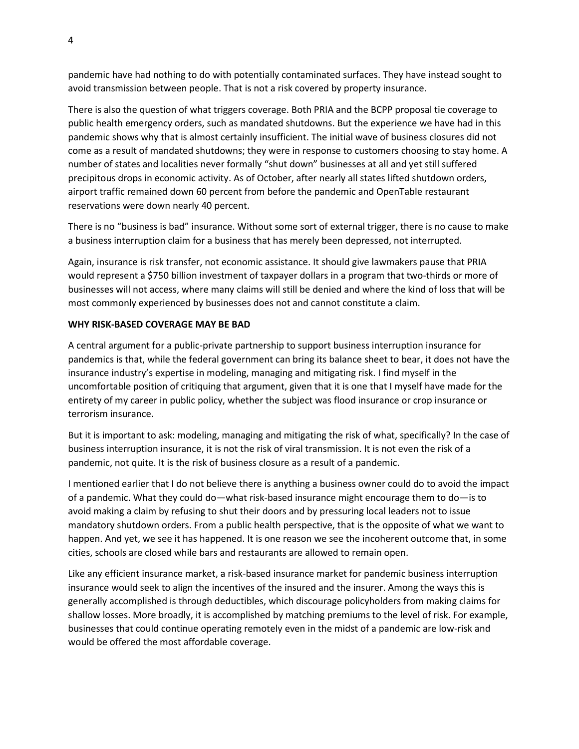pandemic have had nothing to do with potentially contaminated surfaces. They have instead sought to avoid transmission between people. That is not a risk covered by property insurance.

There is also the question of what triggers coverage. Both PRIA and the BCPP proposal tie coverage to public health emergency orders, such as mandated shutdowns. But the experience we have had in this pandemic shows why that is almost certainly insufficient. The initial wave of business closures did not come as a result of mandated shutdowns; they were in response to customers choosing to stay home. A number of states and localities never formally "shut down" businesses at all and yet still suffered precipitous drops in economic activity. As of October, after nearly all states lifted shutdown orders, airport traffic remained down 60 percent from before the pandemic and OpenTable restaurant reservations were down nearly 40 percent.

There is no "business is bad" insurance. Without some sort of external trigger, there is no cause to make a business interruption claim for a business that has merely been depressed, not interrupted.

Again, insurance is risk transfer, not economic assistance. It should give lawmakers pause that PRIA would represent a \$750 billion investment of taxpayer dollars in a program that two-thirds or more of businesses will not access, where many claims will still be denied and where the kind of loss that will be most commonly experienced by businesses does not and cannot constitute a claim.

# **WHY RISK-BASED COVERAGE MAY BE BAD**

A central argument for a public-private partnership to support business interruption insurance for pandemics is that, while the federal government can bring its balance sheet to bear, it does not have the insurance industry's expertise in modeling, managing and mitigating risk. I find myself in the uncomfortable position of critiquing that argument, given that it is one that I myself have made for the entirety of my career in public policy, whether the subject was flood insurance or crop insurance or terrorism insurance.

But it is important to ask: modeling, managing and mitigating the risk of what, specifically? In the case of business interruption insurance, it is not the risk of viral transmission. It is not even the risk of a pandemic, not quite. It is the risk of business closure as a result of a pandemic.

I mentioned earlier that I do not believe there is anything a business owner could do to avoid the impact of a pandemic. What they could do—what risk-based insurance might encourage them to do—is to avoid making a claim by refusing to shut their doors and by pressuring local leaders not to issue mandatory shutdown orders. From a public health perspective, that is the opposite of what we want to happen. And yet, we see it has happened. It is one reason we see the incoherent outcome that, in some cities, schools are closed while bars and restaurants are allowed to remain open.

Like any efficient insurance market, a risk-based insurance market for pandemic business interruption insurance would seek to align the incentives of the insured and the insurer. Among the ways this is generally accomplished is through deductibles, which discourage policyholders from making claims for shallow losses. More broadly, it is accomplished by matching premiums to the level of risk. For example, businesses that could continue operating remotely even in the midst of a pandemic are low-risk and would be offered the most affordable coverage.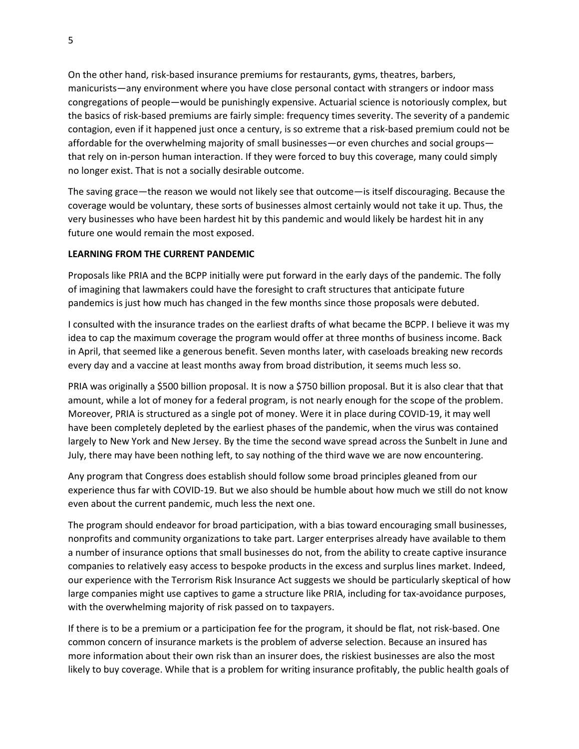On the other hand, risk-based insurance premiums for restaurants, gyms, theatres, barbers, manicurists—any environment where you have close personal contact with strangers or indoor mass congregations of people—would be punishingly expensive. Actuarial science is notoriously complex, but the basics of risk-based premiums are fairly simple: frequency times severity. The severity of a pandemic contagion, even if it happened just once a century, is so extreme that a risk-based premium could not be affordable for the overwhelming majority of small businesses—or even churches and social groups that rely on in-person human interaction. If they were forced to buy this coverage, many could simply no longer exist. That is not a socially desirable outcome.

The saving grace—the reason we would not likely see that outcome—is itself discouraging. Because the coverage would be voluntary, these sorts of businesses almost certainly would not take it up. Thus, the very businesses who have been hardest hit by this pandemic and would likely be hardest hit in any future one would remain the most exposed.

#### **LEARNING FROM THE CURRENT PANDEMIC**

Proposals like PRIA and the BCPP initially were put forward in the early days of the pandemic. The folly of imagining that lawmakers could have the foresight to craft structures that anticipate future pandemics is just how much has changed in the few months since those proposals were debuted.

I consulted with the insurance trades on the earliest drafts of what became the BCPP. I believe it was my idea to cap the maximum coverage the program would offer at three months of business income. Back in April, that seemed like a generous benefit. Seven months later, with caseloads breaking new records every day and a vaccine at least months away from broad distribution, it seems much less so.

PRIA was originally a \$500 billion proposal. It is now a \$750 billion proposal. But it is also clear that that amount, while a lot of money for a federal program, is not nearly enough for the scope of the problem. Moreover, PRIA is structured as a single pot of money. Were it in place during COVID-19, it may well have been completely depleted by the earliest phases of the pandemic, when the virus was contained largely to New York and New Jersey. By the time the second wave spread across the Sunbelt in June and July, there may have been nothing left, to say nothing of the third wave we are now encountering.

Any program that Congress does establish should follow some broad principles gleaned from our experience thus far with COVID-19. But we also should be humble about how much we still do not know even about the current pandemic, much less the next one.

The program should endeavor for broad participation, with a bias toward encouraging small businesses, nonprofits and community organizations to take part. Larger enterprises already have available to them a number of insurance options that small businesses do not, from the ability to create captive insurance companies to relatively easy access to bespoke products in the excess and surplus lines market. Indeed, our experience with the Terrorism Risk Insurance Act suggests we should be particularly skeptical of how large companies might use captives to game a structure like PRIA, including for tax-avoidance purposes, with the overwhelming majority of risk passed on to taxpayers.

If there is to be a premium or a participation fee for the program, it should be flat, not risk-based. One common concern of insurance markets is the problem of adverse selection. Because an insured has more information about their own risk than an insurer does, the riskiest businesses are also the most likely to buy coverage. While that is a problem for writing insurance profitably, the public health goals of